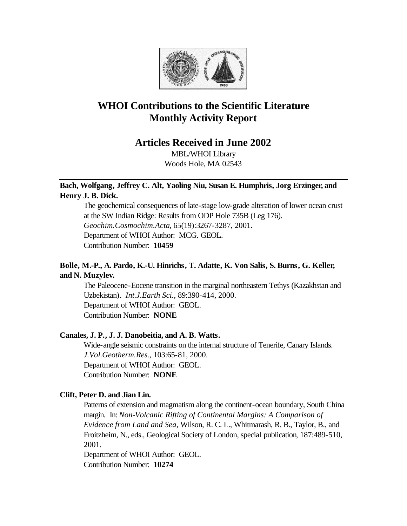

# **WHOI Contributions to the Scientific Literature Monthly Activity Report**

# **Articles Received in June 2002**

MBL/WHOI Library Woods Hole, MA 02543

# **Bach, Wolfgang, Jeffrey C. Alt, Yaoling Niu, Susan E. Humphris, Jorg Erzinger, and Henry J. B. Dick.**

The geochemical consequences of late-stage low-grade alteration of lower ocean crust at the SW Indian Ridge: Results from ODP Hole 735B (Leg 176). *Geochim.Cosmochim.Acta*, 65(19):3267-3287, 2001. Department of WHOI Author: MCG. GEOL. Contribution Number: **10459**

# **Bolle, M.-P., A. Pardo, K.-U. Hinrichs, T. Adatte, K. Von Salis, S. Burns, G. Keller, and N. Muzylev.**

The Paleocene-Eocene transition in the marginal northeastern Tethys (Kazakhstan and Uzbekistan). *Int.J.Earth Sci.*, 89:390-414, 2000. Department of WHOI Author: GEOL. Contribution Number: **NONE**

# **Canales, J. P., J. J. Danobeitia, and A. B. Watts.**

Wide-angle seismic constraints on the internal structure of Tenerife, Canary Islands. *J.Vol.Geotherm.Res.*, 103:65-81, 2000. Department of WHOI Author: GEOL. Contribution Number: **NONE**

# **Clift, Peter D. and Jian Lin.**

Patterns of extension and magmatism along the continent-ocean boundary, South China margin. In: *Non-Volcanic Rifting of Continental Margins: A Comparison of Evidence from Land and Sea,* Wilson, R. C. L., Whitmarash, R. B., Taylor, B., and Froitzheim, N., eds., Geological Society of London, special publication, 187:489-510, 2001.

Department of WHOI Author: GEOL. Contribution Number: **10274**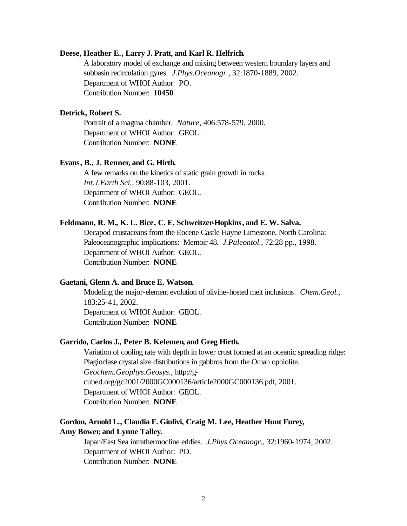## **Deese, Heather E., Larry J. Pratt, and Karl R. Helfrich.**

A laboratory model of exchange and mixing between western boundary layers and subbasin recirculation gyres. *J.Phys.Oceanogr.*, 32:1870-1889, 2002. Department of WHOI Author: PO. Contribution Number: **10450**

## **Detrick, Robert S.**

Portrait of a magma chamber. *Nature*, 406:578-579, 2000. Department of WHOI Author: GEOL. Contribution Number: **NONE**

### **Evans, B., J. Renner, and G. Hirth.**

A few remarks on the kinetics of static grain growth in rocks. *Int.J.Earth Sci.*, 90:88-103, 2001. Department of WHOI Author: GEOL. Contribution Number: **NONE**

### **Feldmann, R. M., K. L. Bice, C. E. Schweitzer-Hopkins, and E. W. Salva.**

Decapod crustaceans from the Eocene Castle Hayne Limestone, North Carolina: Paleoceanographic implications: Memoir 48. *J.Paleontol.*, 72:28 pp., 1998. Department of WHOI Author: GEOL. Contribution Number: **NONE**

## **Gaetani, Glenn A. and Bruce E. Watson.**

Modeling the major-element evolution of olivine-hosted melt inclusions. *Chem.Geol.*, 183:25-41, 2002. Department of WHOI Author: GEOL. Contribution Number: **NONE**

### **Garrido, Carlos J., Peter B. Kelemen, and Greg Hirth.**

Variation of cooling rate with depth in lower crust formed at an oceanic spreading ridge: Plagioclase crystal size distributions in gabbros from the Oman ophiolite. *Geochem.Geophys.Geosys.*, http://gcubed.org/gc2001/2000GC000136/article2000GC000136.pdf, 2001. Department of WHOI Author: GEOL. Contribution Number: **NONE**

# **Gordon, Arnold L., Claudia F. Giulivi, Craig M. Lee, Heather Hunt Furey, Amy Bower, and Lynne Talley.**

Japan/East Sea intrathermocline eddies. *J.Phys.Oceanogr.*, 32:1960-1974, 2002. Department of WHOI Author: PO. Contribution Number: **NONE**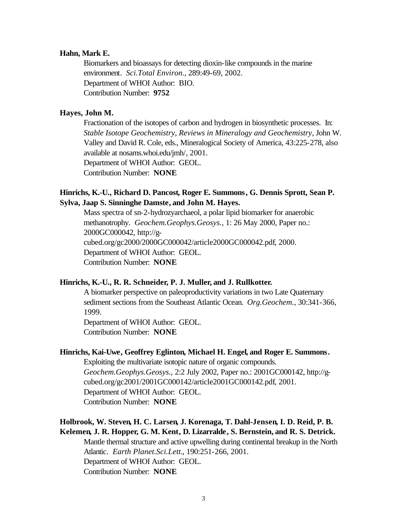### **Hahn, Mark E.**

Biomarkers and bioassays for detecting dioxin-like compounds in the marine environment. *Sci.Total Environ.*, 289:49-69, 2002. Department of WHOI Author: BIO. Contribution Number: **9752**

# **Hayes, John M.**

Fractionation of the isotopes of carbon and hydrogen in biosynthetic processes. In: *Stable Isotope Geochemistry, Reviews in Mineralogy and Geochemistry,* John W. Valley and David R. Cole, eds., Mineralogical Society of America, 43:225-278, also available at nosams.whoi.edu/jmh/, 2001. Department of WHOI Author: GEOL. Contribution Number: **NONE**

# **Hinrichs, K.-U., Richard D. Pancost, Roger E. Summons, G. Dennis Sprott, Sean P. Sylva, Jaap S. Sinninghe Damste, and John M. Hayes.**

Mass spectra of sn-2-hydrozyarchaeol, a polar lipid biomarker for anaerobic methanotrophy. *Geochem.Geophys.Geosys.*, 1: 26 May 2000, Paper no.: 2000GC000042, http://gcubed.org/gc2000/2000GC000042/article2000GC000042.pdf, 2000. Department of WHOI Author: GEOL. Contribution Number: **NONE**

## **Hinrichs, K.-U., R. R. Schneider, P. J. Muller, and J. Rullkotter.**

A biomarker perspective on paleoproductivity variations in two Late Quaternary sediment sections from the Southeast Atlantic Ocean. *Org.Geochem.*, 30:341-366, 1999.

Department of WHOI Author: GEOL. Contribution Number: **NONE**

### **Hinrichs, Kai-Uwe, Geoffrey Eglinton, Michael H. Engel, and Roger E. Summons.**

Exploiting the multivariate isotopic nature of organic compounds. *Geochem.Geophys.Geosys.*, 2:2 July 2002, Paper no.: 2001GC000142, http://gcubed.org/gc2001/2001GC000142/article2001GC000142.pdf, 2001. Department of WHOI Author: GEOL. Contribution Number: **NONE**

# **Holbrook, W. Steven, H. C. Larsen, J. Korenaga, T. Dahl-Jensen, I. D. Reid, P. B. Kelemen, J. R. Hopper, G. M. Kent, D. Lizarralde, S. Bernstein, and R. S. Detrick.**

Mantle thermal structure and active upwelling during continental breakup in the North Atlantic. *Earth Planet.Sci.Lett.*, 190:251-266, 2001. Department of WHOI Author: GEOL. Contribution Number: **NONE**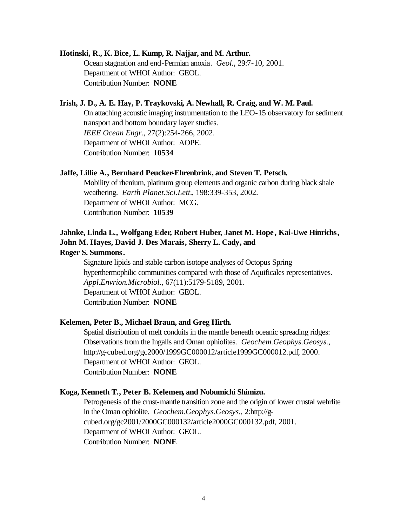### **Hotinski, R., K. Bice, L. Kump, R. Najjar, and M. Arthur.**

Ocean stagnation and end-Permian anoxia. *Geol.*, 29:7-10, 2001. Department of WHOI Author: GEOL. Contribution Number: **NONE**

# **Irish, J. D., A. E. Hay, P. Traykovski, A. Newhall, R. Craig, and W. M. Paul.**

On attaching acoustic imaging instrumentation to the LEO-15 observatory for sediment transport and bottom boundary layer studies. *IEEE Ocean Engr.*, 27(2):254-266, 2002. Department of WHOI Author: AOPE. Contribution Number: **10534**

### **Jaffe, Lillie A., Bernhard Peucker-Ehrenbrink, and Steven T. Petsch.**

Mobility of rhenium, platinum group elements and organic carbon during black shale weathering. *Earth Planet.Sci.Lett.*, 198:339-353, 2002. Department of WHOI Author: MCG. Contribution Number: **10539**

# **Jahnke, Linda L., Wolfgang Eder, Robert Huber, Janet M. Hope , Kai-Uwe Hinrichs, John M. Hayes, David J. Des Marais, Sherry L. Cady, and**

# **Roger S. Summons.**

Signature lipids and stable carbon isotope analyses of Octopus Spring hyperthermophilic communities compared with those of Aquificales representatives. *Appl.Envrion.Microbiol.*, 67(11):5179-5189, 2001. Department of WHOI Author: GEOL. Contribution Number: **NONE**

## **Kelemen, Peter B., Michael Braun, and Greg Hirth.**

Spatial distribution of melt conduits in the mantle beneath oceanic spreading ridges: Observations from the Ingalls and Oman ophiolites. *Geochem.Geophys.Geosys.*, http://g-cubed.org/gc2000/1999GC000012/article1999GC000012.pdf, 2000. Department of WHOI Author: GEOL. Contribution Number: **NONE**

### **Koga, Kenneth T., Peter B. Kelemen, and Nobumichi Shimizu.**

Petrogenesis of the crust-mantle transition zone and the origin of lower crustal wehrlite in the Oman ophiolite. *Geochem.Geophys.Geosys.*, 2:http://gcubed.org/gc2001/2000GC000132/article2000GC000132.pdf, 2001. Department of WHOI Author: GEOL. Contribution Number: **NONE**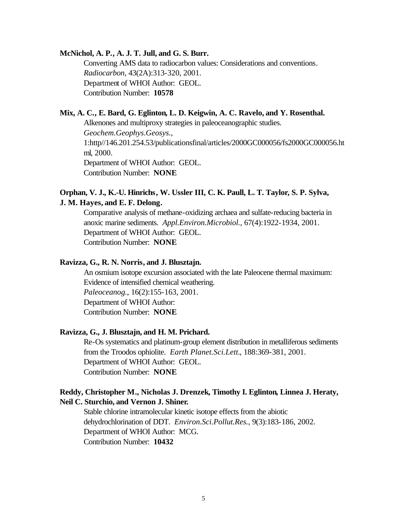## **McNichol, A. P., A. J. T. Jull, and G. S. Burr.**

Converting AMS data to radiocarbon values: Considerations and conventions. *Radiocarbon*, 43(2A):313-320, 2001. Department of WHOI Author: GEOL. Contribution Number: **10578**

# **Mix, A. C., E. Bard, G. Eglinton, L. D. Keigwin, A. C. Ravelo, and Y. Rosenthal.**

Alkenones and multiproxy strategies in paleoceanographic studies. *Geochem.Geophys.Geosys.*, 1:http//146.201.254.53/publicationsfinal/articles/2000GC000056/fs2000GC000056.ht ml, 2000. Department of WHOI Author: GEOL. Contribution Number: **NONE**

# **Orphan, V. J., K.-U. Hinrichs, W. Ussler III, C. K. Paull, L. T. Taylor, S. P. Sylva, J. M. Hayes, and E. F. Delong.**

Comparative analysis of methane-oxidizing archaea and sulfate-reducing bacteria in anoxic marine sediments. *Appl.Environ.Microbiol.*, 67(4):1922-1934, 2001. Department of WHOI Author: GEOL. Contribution Number: **NONE**

# **Ravizza, G., R. N. Norris, and J. Blusztajn.**

An osmium isotope excursion associated with the late Paleocene thermal maximum: Evidence of intensified chemical weathering. *Paleoceanog.*, 16(2):155-163, 2001. Department of WHOI Author: Contribution Number: **NONE**

## **Ravizza, G., J. Blusztajn, and H. M. Prichard.**

Re-Os systematics and platinum-group element distribution in metalliferous sediments from the Troodos ophiolite. *Earth Planet.Sci.Lett.*, 188:369-381, 2001. Department of WHOI Author: GEOL. Contribution Number: **NONE**

# **Reddy, Christopher M., Nicholas J. Drenzek, Timothy I. Eglinton, Linnea J. Heraty, Neil C. Sturchio, and Vernon J. Shiner.**

Stable chlorine intramolecular kinetic isotope effects from the abiotic dehydrochlorination of DDT. *Environ.Sci.Pollut.Res.*, 9(3):183-186, 2002. Department of WHOI Author: MCG. Contribution Number: **10432**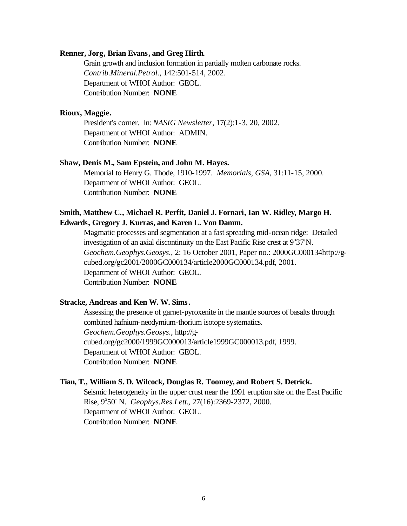## **Renner, Jorg, Brian Evans, and Greg Hirth.**

Grain growth and inclusion formation in partially molten carbonate rocks. *Contrib.Mineral.Petrol.*, 142:501-514, 2002. Department of WHOI Author: GEOL. Contribution Number: **NONE**

## **Rioux, Maggie.**

President's corner. In: *NASIG Newsletter*, 17(2):1-3, 20, 2002. Department of WHOI Author: ADMIN. Contribution Number: **NONE**

### **Shaw, Denis M., Sam Epstein, and John M. Hayes.**

Memorial to Henry G. Thode, 1910-1997. *Memorials, GSA*, 31:11-15, 2000. Department of WHOI Author: GEOL. Contribution Number: **NONE**

# **Smith, Matthew C., Michael R. Perfit, Daniel J. Fornari, Ian W. Ridley, Margo H. Edwards, Gregory J. Kurras, and Karen L. Von Damm.**

Magmatic processes and segmentation at a fast spreading mid-ocean ridge: Detailed investigation of an axial discontinuity on the East Pacific Rise crest at  $9^{\circ}37'N$ . *Geochem.Geophys.Geosys.*, 2: 16 October 2001, Paper no.: 2000GC000134http://gcubed.org/gc2001/2000GC000134/article2000GC000134.pdf, 2001. Department of WHOI Author: GEOL. Contribution Number: **NONE**

#### **Stracke, Andreas and Ken W. W. Sims.**

Assessing the presence of garnet-pyroxenite in the mantle sources of basalts through combined hafnium-neodymium-thorium isotope systematics. *Geochem.Geophys.Geosys.*, http://gcubed.org/gc2000/1999GC000013/article1999GC000013.pdf, 1999. Department of WHOI Author: GEOL. Contribution Number: **NONE**

## **Tian, T., William S. D. Wilcock, Douglas R. Toomey, and Robert S. Detrick.**

Seismic heterogeneity in the upper crust near the 1991 eruption site on the East Pacific Rise, 9°50' N. *Geophys.Res.Lett.*, 27(16):2369-2372, 2000. Department of WHOI Author: GEOL. Contribution Number: **NONE**